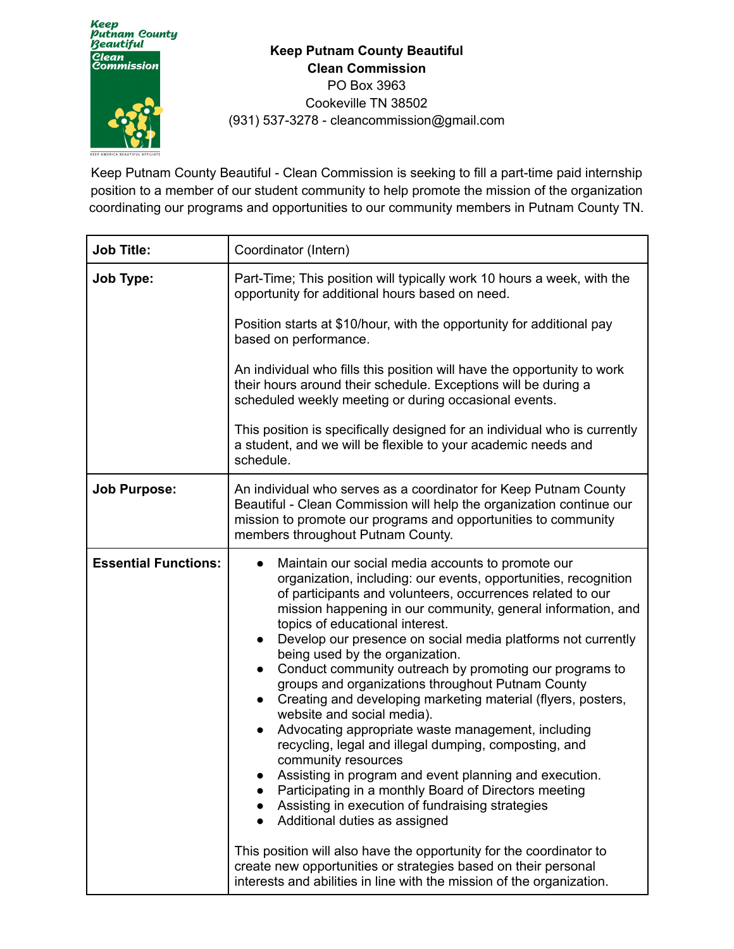

**Keep Putnam County Beautiful Clean Commission** PO Box 3963 Cookeville TN 38502 (931) 537-3278 - cleancommission@gmail.com

Keep Putnam County Beautiful - Clean Commission is seeking to fill a part-time paid internship position to a member of our student community to help promote the mission of the organization coordinating our programs and opportunities to our community members in Putnam County TN.

| <b>Job Title:</b>           | Coordinator (Intern)                                                                                                                                                                                                                                                                                                                                                                                                                                                                                                                                                                                                                                                                                                                                                                                                                                                                                                                                                                                                                                                                                                                                                                                          |
|-----------------------------|---------------------------------------------------------------------------------------------------------------------------------------------------------------------------------------------------------------------------------------------------------------------------------------------------------------------------------------------------------------------------------------------------------------------------------------------------------------------------------------------------------------------------------------------------------------------------------------------------------------------------------------------------------------------------------------------------------------------------------------------------------------------------------------------------------------------------------------------------------------------------------------------------------------------------------------------------------------------------------------------------------------------------------------------------------------------------------------------------------------------------------------------------------------------------------------------------------------|
| <b>Job Type:</b>            | Part-Time; This position will typically work 10 hours a week, with the<br>opportunity for additional hours based on need.                                                                                                                                                                                                                                                                                                                                                                                                                                                                                                                                                                                                                                                                                                                                                                                                                                                                                                                                                                                                                                                                                     |
|                             | Position starts at \$10/hour, with the opportunity for additional pay<br>based on performance.                                                                                                                                                                                                                                                                                                                                                                                                                                                                                                                                                                                                                                                                                                                                                                                                                                                                                                                                                                                                                                                                                                                |
|                             | An individual who fills this position will have the opportunity to work<br>their hours around their schedule. Exceptions will be during a<br>scheduled weekly meeting or during occasional events.                                                                                                                                                                                                                                                                                                                                                                                                                                                                                                                                                                                                                                                                                                                                                                                                                                                                                                                                                                                                            |
|                             | This position is specifically designed for an individual who is currently<br>a student, and we will be flexible to your academic needs and<br>schedule.                                                                                                                                                                                                                                                                                                                                                                                                                                                                                                                                                                                                                                                                                                                                                                                                                                                                                                                                                                                                                                                       |
| <b>Job Purpose:</b>         | An individual who serves as a coordinator for Keep Putnam County<br>Beautiful - Clean Commission will help the organization continue our<br>mission to promote our programs and opportunities to community<br>members throughout Putnam County.                                                                                                                                                                                                                                                                                                                                                                                                                                                                                                                                                                                                                                                                                                                                                                                                                                                                                                                                                               |
| <b>Essential Functions:</b> | Maintain our social media accounts to promote our<br>$\bullet$<br>organization, including: our events, opportunities, recognition<br>of participants and volunteers, occurrences related to our<br>mission happening in our community, general information, and<br>topics of educational interest.<br>Develop our presence on social media platforms not currently<br>being used by the organization.<br>Conduct community outreach by promoting our programs to<br>$\bullet$<br>groups and organizations throughout Putnam County<br>Creating and developing marketing material (flyers, posters,<br>$\bullet$<br>website and social media).<br>Advocating appropriate waste management, including<br>recycling, legal and illegal dumping, composting, and<br>community resources<br>Assisting in program and event planning and execution.<br>Participating in a monthly Board of Directors meeting<br>Assisting in execution of fundraising strategies<br>Additional duties as assigned<br>This position will also have the opportunity for the coordinator to<br>create new opportunities or strategies based on their personal<br>interests and abilities in line with the mission of the organization. |